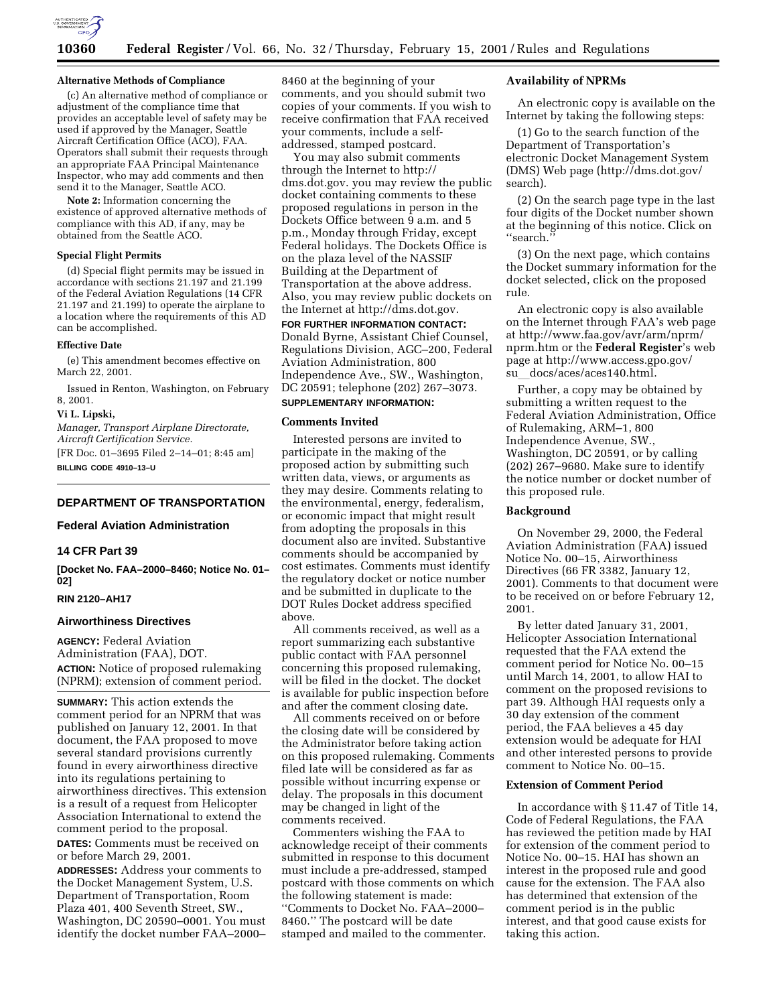

#### **Alternative Methods of Compliance**

(c) An alternative method of compliance or adjustment of the compliance time that provides an acceptable level of safety may be used if approved by the Manager, Seattle Aircraft Certification Office (ACO), FAA. Operators shall submit their requests through an appropriate FAA Principal Maintenance Inspector, who may add comments and then send it to the Manager, Seattle ACO.

**Note 2:** Information concerning the existence of approved alternative methods of compliance with this AD, if any, may be obtained from the Seattle ACO.

### **Special Flight Permits**

(d) Special flight permits may be issued in accordance with sections 21.197 and 21.199 of the Federal Aviation Regulations (14 CFR 21.197 and 21.199) to operate the airplane to a location where the requirements of this AD can be accomplished.

#### **Effective Date**

(e) This amendment becomes effective on March 22, 2001.

Issued in Renton, Washington, on February 8, 2001.

#### **Vi L. Lipski,**

*Manager, Transport Airplane Directorate, Aircraft Certification Service.*

[FR Doc. 01–3695 Filed 2–14–01; 8:45 am] **BILLING CODE 4910–13–U**

# **DEPARTMENT OF TRANSPORTATION**

### **Federal Aviation Administration**

# **14 CFR Part 39**

**[Docket No. FAA–2000–8460; Notice No. 01– 02]**

## **RIN 2120–AH17**

## **Airworthiness Directives**

**AGENCY:** Federal Aviation Administration (FAA), DOT. **ACTION:** Notice of proposed rulemaking (NPRM); extension of comment period.

**SUMMARY:** This action extends the comment period for an NPRM that was published on January 12, 2001. In that document, the FAA proposed to move several standard provisions currently found in every airworthiness directive into its regulations pertaining to airworthiness directives. This extension is a result of a request from Helicopter Association International to extend the comment period to the proposal. **DATES:** Comments must be received on or before March 29, 2001.

**ADDRESSES:** Address your comments to the Docket Management System, U.S. Department of Transportation, Room Plaza 401, 400 Seventh Street, SW., Washington, DC 20590–0001. You must identify the docket number FAA–2000–

8460 at the beginning of your comments, and you should submit two copies of your comments. If you wish to receive confirmation that FAA received your comments, include a selfaddressed, stamped postcard.

You may also submit comments through the Internet to http:// dms.dot.gov. you may review the public docket containing comments to these proposed regulations in person in the Dockets Office between 9 a.m. and 5 p.m., Monday through Friday, except Federal holidays. The Dockets Office is on the plaza level of the NASSIF Building at the Department of Transportation at the above address. Also, you may review public dockets on the Internet at http://dms.dot.gov.

**FOR FURTHER INFORMATION CONTACT:** Donald Byrne, Assistant Chief Counsel, Regulations Division, AGC–200, Federal Aviation Administration, 800 Independence Ave., SW., Washington, DC 20591; telephone (202) 267–3073.

# **SUPPLEMENTARY INFORMATION:**

## **Comments Invited**

Interested persons are invited to participate in the making of the proposed action by submitting such written data, views, or arguments as they may desire. Comments relating to the environmental, energy, federalism, or economic impact that might result from adopting the proposals in this document also are invited. Substantive comments should be accompanied by cost estimates. Comments must identify the regulatory docket or notice number and be submitted in duplicate to the DOT Rules Docket address specified above.

All comments received, as well as a report summarizing each substantive public contact with FAA personnel concerning this proposed rulemaking, will be filed in the docket. The docket is available for public inspection before and after the comment closing date.

All comments received on or before the closing date will be considered by the Administrator before taking action on this proposed rulemaking. Comments filed late will be considered as far as possible without incurring expense or delay. The proposals in this document may be changed in light of the comments received.

Commenters wishing the FAA to acknowledge receipt of their comments submitted in response to this document must include a pre-addressed, stamped postcard with those comments on which the following statement is made: ''Comments to Docket No. FAA–2000– 8460.'' The postcard will be date stamped and mailed to the commenter.

### **Availability of NPRMs**

An electronic copy is available on the Internet by taking the following steps:

(1) Go to the search function of the Department of Transportation's electronic Docket Management System (DMS) Web page (http://dms.dot.gov/ search).

(2) On the search page type in the last four digits of the Docket number shown at the beginning of this notice. Click on ''search.''

(3) On the next page, which contains the Docket summary information for the docket selected, click on the proposed rule.

An electronic copy is also available on the Internet through FAA's web page at http://www.faa.gov/avr/arm/nprm/ nprm.htm or the **Federal Register**'s web page at http://www.access.gpo.gov/ su docs/aces/aces140.html.

Further, a copy may be obtained by submitting a written request to the Federal Aviation Administration, Office of Rulemaking, ARM–1, 800 Independence Avenue, SW., Washington, DC 20591, or by calling (202) 267–9680. Make sure to identify the notice number or docket number of this proposed rule.

#### **Background**

On November 29, 2000, the Federal Aviation Administration (FAA) issued Notice No. 00–15, Airworthiness Directives (66 FR 3382, January 12, 2001). Comments to that document were to be received on or before February 12, 2001.

By letter dated January 31, 2001, Helicopter Association International requested that the FAA extend the comment period for Notice No. 00–15 until March 14, 2001, to allow HAI to comment on the proposed revisions to part 39. Although HAI requests only a 30 day extension of the comment period, the FAA believes a 45 day extension would be adequate for HAI and other interested persons to provide comment to Notice No. 00–15.

#### **Extension of Comment Period**

In accordance with § 11.47 of Title 14, Code of Federal Regulations, the FAA has reviewed the petition made by HAI for extension of the comment period to Notice No. 00–15. HAI has shown an interest in the proposed rule and good cause for the extension. The FAA also has determined that extension of the comment period is in the public interest, and that good cause exists for taking this action.